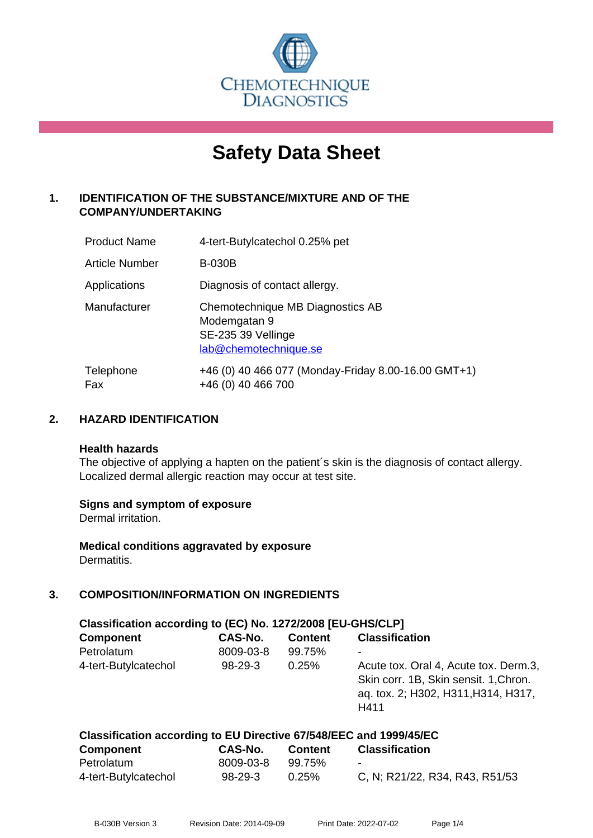

# **Safety Data Sheet**

# **1. IDENTIFICATION OF THE SUBSTANCE/MIXTURE AND OF THE COMPANY/UNDERTAKING**

| <b>Product Name</b> | 4-tert-Butylcatechol 0.25% pet                                                                  |
|---------------------|-------------------------------------------------------------------------------------------------|
| Article Number      | <b>B-030B</b>                                                                                   |
| Applications        | Diagnosis of contact allergy.                                                                   |
| Manufacturer        | Chemotechnique MB Diagnostics AB<br>Modemgatan 9<br>SE-235 39 Vellinge<br>lab@chemotechnique.se |
| Telephone<br>Fax    | +46 (0) 40 466 077 (Monday-Friday 8.00-16.00 GMT+1)<br>+46 (0) 40 466 700                       |

# **2. HAZARD IDENTIFICATION**

#### **Health hazards**

The objective of applying a hapten on the patient's skin is the diagnosis of contact allergy. Localized dermal allergic reaction may occur at test site.

#### **Signs and symptom of exposure**

Dermal irritation.

**Medical conditions aggravated by exposure** Dermatitis.

# **3. COMPOSITION/INFORMATION ON INGREDIENTS**

| Classification according to (EC) No. 1272/2008 [EU-GHS/CLP]        |           |                |                                                                                                                               |  |
|--------------------------------------------------------------------|-----------|----------------|-------------------------------------------------------------------------------------------------------------------------------|--|
| <b>Component</b>                                                   | CAS-No.   | <b>Content</b> | <b>Classification</b>                                                                                                         |  |
| Petrolatum                                                         | 8009-03-8 | 99.75%         |                                                                                                                               |  |
| 4-tert-Butylcatechol                                               | $98-29-3$ | 0.25%          | Acute tox. Oral 4, Acute tox. Derm.3,<br>Skin corr. 1B, Skin sensit. 1, Chron.<br>aq. tox. 2; H302, H311, H314, H317,<br>H411 |  |
| Classification according to EU Directive 67/548/EEC and 1999/45/EC |           |                |                                                                                                                               |  |
| <b>Component</b>                                                   | CAS-No.   | <b>Content</b> | <b>Classification</b>                                                                                                         |  |

| <b>COMPORTER</b>     | UAJINU.   | <b>CONGIL</b> | <b>UIASSIIIUALIUII</b>         |
|----------------------|-----------|---------------|--------------------------------|
| Petrolatum           | 8009-03-8 | 99.75%        | $\overline{\phantom{a}}$       |
| 4-tert-Butylcatechol | 98-29-3   | 0.25%         | C, N; R21/22, R34, R43, R51/53 |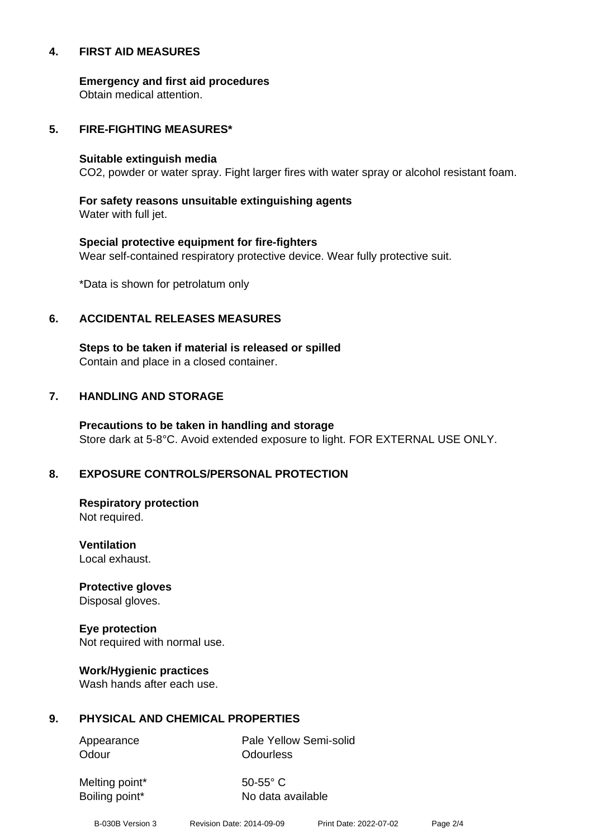#### **4. FIRST AID MEASURES**

**Emergency and first aid procedures**

Obtain medical attention.

#### **5. FIRE-FIGHTING MEASURES\***

#### **Suitable extinguish media**

CO2, powder or water spray. Fight larger fires with water spray or alcohol resistant foam.

# **For safety reasons unsuitable extinguishing agents**

Water with full jet.

# **Special protective equipment for fire-fighters** Wear self-contained respiratory protective device. Wear fully protective suit.

\*Data is shown for petrolatum only

# **6. ACCIDENTAL RELEASES MEASURES**

**Steps to be taken if material is released or spilled** Contain and place in a closed container.

# **7. HANDLING AND STORAGE**

**Precautions to be taken in handling and storage** Store dark at 5-8°C. Avoid extended exposure to light. FOR EXTERNAL USE ONLY.

# **8. EXPOSURE CONTROLS/PERSONAL PROTECTION**

**Respiratory protection** Not required.

**Ventilation** Local exhaust.

**Protective gloves** Disposal gloves.

# **Eye protection**

Not required with normal use.

#### **Work/Hygienic practices**

Wash hands after each use.

#### **9. PHYSICAL AND CHEMICAL PROPERTIES**

Odour **Odourless** 

Appearance Pale Yellow Semi-solid

Melting point\* 50-55° C

Boiling point\* No data available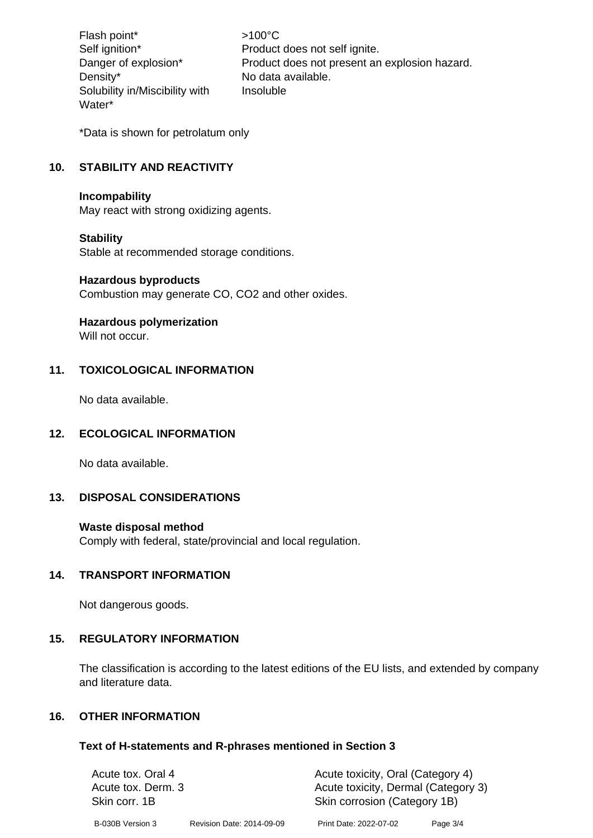Flash point\*  $>100^{\circ}$ C Density\* No data available. Solubility in/Miscibility with Water\*

Self ignition\* Product does not self ignite. Danger of explosion\* Product does not present an explosion hazard. Insoluble

\*Data is shown for petrolatum only

# **10. STABILITY AND REACTIVITY**

#### **Incompability**

May react with strong oxidizing agents.

#### **Stability**

Stable at recommended storage conditions.

#### **Hazardous byproducts**

Combustion may generate CO, CO2 and other oxides.

#### **Hazardous polymerization**

Will not occur.

#### **11. TOXICOLOGICAL INFORMATION**

No data available.

#### **12. ECOLOGICAL INFORMATION**

No data available.

# **13. DISPOSAL CONSIDERATIONS**

#### **Waste disposal method**

Comply with federal, state/provincial and local regulation.

#### **14. TRANSPORT INFORMATION**

Not dangerous goods.

#### **15. REGULATORY INFORMATION**

The classification is according to the latest editions of the EU lists, and extended by company and literature data.

#### **16. OTHER INFORMATION**

#### **Text of H-statements and R-phrases mentioned in Section 3**

| Acute tox. Oral 4  |                           | Acute toxicity, Oral (Category 4)   |            |  |
|--------------------|---------------------------|-------------------------------------|------------|--|
| Acute tox. Derm. 3 |                           | Acute toxicity, Dermal (Category 3) |            |  |
| Skin corr. 1B      |                           | Skin corrosion (Category 1B)        |            |  |
| B-030B Version 3   | Revision Date: 2014-09-09 | Print Date: 2022-07-02              | Page $3/4$ |  |